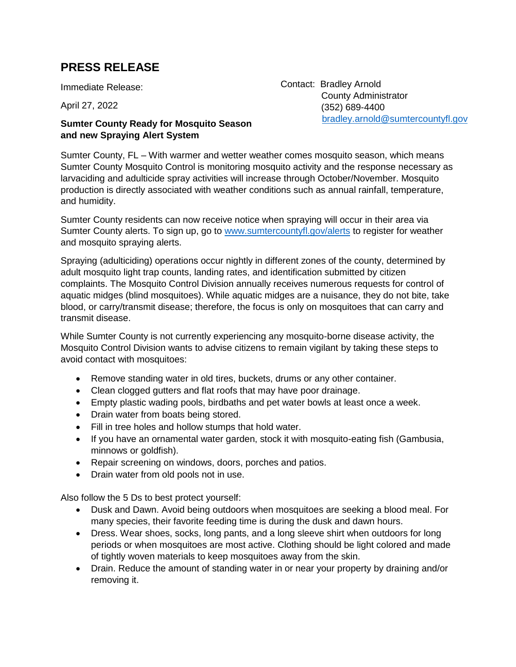## **PRESS RELEASE**

Immediate Release:

April 27, 2022

## **Sumter County Ready for Mosquito Season and new Spraying Alert System**

Contact: Bradley Arnold County Administrator (352) 689-4400 [bradley.arnold@sumtercountyfl.gov](mailto:bradley.arnold@sumtercountyfl.gov)

Sumter County, FL – With warmer and wetter weather comes mosquito season, which means Sumter County Mosquito Control is monitoring mosquito activity and the response necessary as larvaciding and adulticide spray activities will increase through October/November. Mosquito production is directly associated with weather conditions such as annual rainfall, temperature, and humidity.

Sumter County residents can now receive notice when spraying will occur in their area via Sumter County alerts. To sign up, go to [www.sumtercountyfl.gov/alerts](http://www.sumtercountyfl.gov/alerts) to register for weather and mosquito spraying alerts.

Spraying (adulticiding) operations occur nightly in different zones of the county, determined by adult mosquito light trap counts, landing rates, and identification submitted by citizen complaints. The Mosquito Control Division annually receives numerous requests for control of aquatic midges (blind mosquitoes). While aquatic midges are a nuisance, they do not bite, take blood, or carry/transmit disease; therefore, the focus is only on mosquitoes that can carry and transmit disease.

While Sumter County is not currently experiencing any mosquito-borne disease activity, the Mosquito Control Division wants to advise citizens to remain vigilant by taking these steps to avoid contact with mosquitoes:

- Remove standing water in old tires, buckets, drums or any other container.
- Clean clogged gutters and flat roofs that may have poor drainage.
- Empty plastic wading pools, birdbaths and pet water bowls at least once a week.
- Drain water from boats being stored.
- Fill in tree holes and hollow stumps that hold water.
- If you have an ornamental water garden, stock it with mosquito-eating fish (Gambusia, minnows or goldfish).
- Repair screening on windows, doors, porches and patios.
- Drain water from old pools not in use.

Also follow the 5 Ds to best protect yourself:

- Dusk and Dawn. Avoid being outdoors when mosquitoes are seeking a blood meal. For many species, their favorite feeding time is during the dusk and dawn hours.
- Dress. Wear shoes, socks, long pants, and a long sleeve shirt when outdoors for long periods or when mosquitoes are most active. Clothing should be light colored and made of tightly woven materials to keep mosquitoes away from the skin.
- Drain. Reduce the amount of standing water in or near your property by draining and/or removing it.